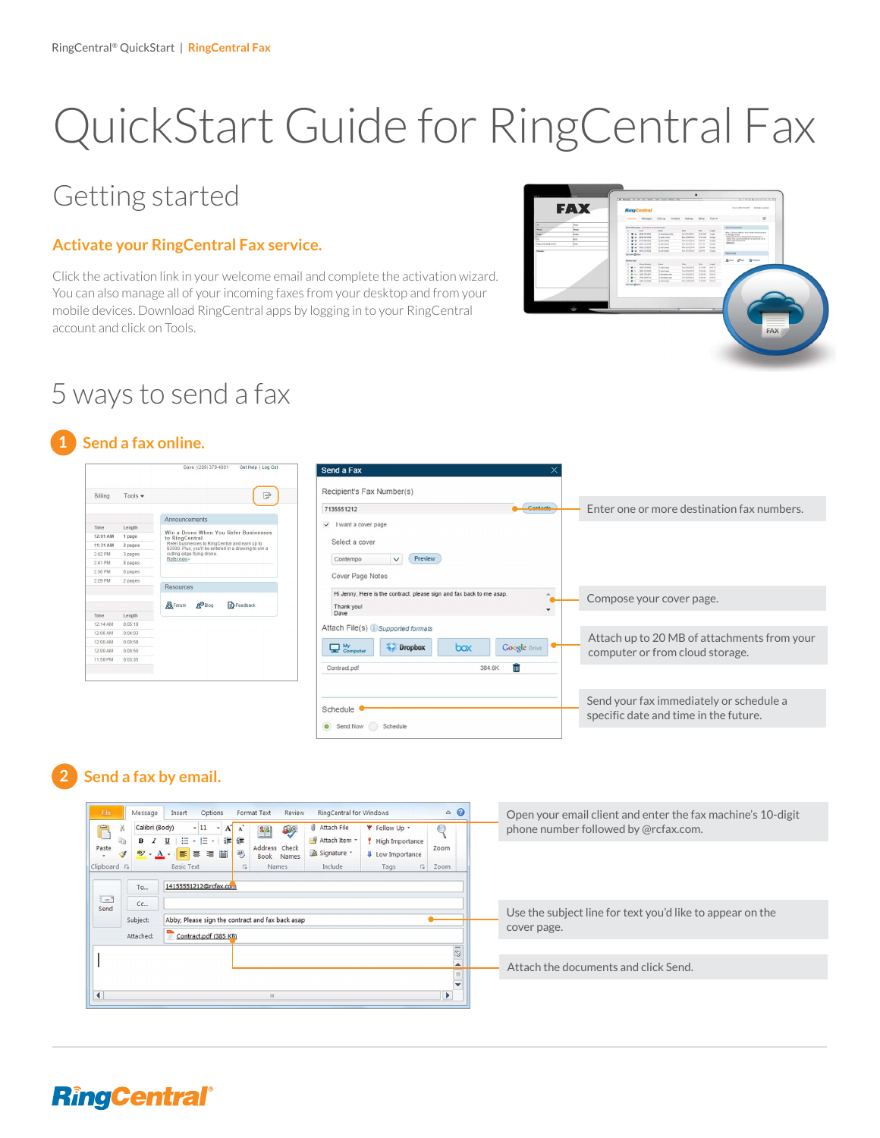# QuickStart Guide for RingCentral Fax

## Getting started

#### **Activate your RingCentral Fax service.**

Click the activation link in your welcome email and complete the activation wizard. You can also manage all of your incoming faxes from your desktop and from your mobile devices. Download RingCentral apps by logging in to your RingCentral account and click on Tools.



## 5 ways to send a fax

#### **1 Send a fax online.**

| <b>Billing</b> | Tools $\blacktriangledown$ | ╔                                                                                                       |
|----------------|----------------------------|---------------------------------------------------------------------------------------------------------|
|                |                            | Announcements                                                                                           |
| Time           | Length                     | Win a Drone When You Refer Businesses                                                                   |
| 12:01 AM       | 1 page                     | to RingCentral                                                                                          |
| 11:31 AM       | 2 pages                    | Refer businesses to RingCentral and earn up to<br>\$2500. Plus, you'll be entered in a drawing to win a |
| 2:42 PM        | 3 pages                    | cutting edge flying drone.<br>Refer now»                                                                |
| $2:41$ PM      | 8 pages                    |                                                                                                         |
| 2:36 PM        | 6 pages                    |                                                                                                         |
| 2:29 PM        | 2 pages                    |                                                                                                         |
|                |                            | Resources                                                                                               |
|                |                            | <b>R</b> Forum<br><b>A</b> <sup>D</sup> Blog<br>Feedback                                                |
| Time           | Length                     |                                                                                                         |
| 12:14 AM       | 0:05:19                    |                                                                                                         |
| 12:06 AM       | 0.04:03                    |                                                                                                         |
| 12:00 AM       | 0:00:58                    |                                                                                                         |
| 12:00 AM       | 0:00:50                    |                                                                                                         |
| 11:58 PM       | 0:03:35                    |                                                                                                         |

| $\times$<br>Send a Fax                                                             |                                                                                |
|------------------------------------------------------------------------------------|--------------------------------------------------------------------------------|
| Recipient's Fax Number(s)                                                          |                                                                                |
| Contacte<br>7135551212                                                             | Enter one or more destination fax numbers.                                     |
| I want a cover page<br>$\checkmark$                                                |                                                                                |
| Select a cover                                                                     |                                                                                |
| Preview<br>Contempo<br>$\checkmark$                                                |                                                                                |
| Cover Page Notes                                                                   |                                                                                |
| Hi Jenny, Here is the contract. please sign and fax back to me asap.<br>۸          | Compose your cover page.                                                       |
| Thank you!<br>Dave                                                                 |                                                                                |
| Attach File(s) is Supported formats                                                |                                                                                |
| $\mathbf{\mathbf{\mathbf{\mathsf{Q}}}}$ Computer<br>Dropbox<br>box<br>Google Drive | Attach up to 20 MB of attachments from your<br>computer or from cloud storage. |
| ΪÌΪ<br>384.6K<br>Contract.pdf                                                      |                                                                                |
|                                                                                    |                                                                                |
|                                                                                    | Send your fax immediately or schedule a                                        |
| Schedule                                                                           | specific date and time in the future.                                          |
| Send Now<br>Schedule                                                               |                                                                                |

### **2 Send a fax by email.**



## **RingCentral®**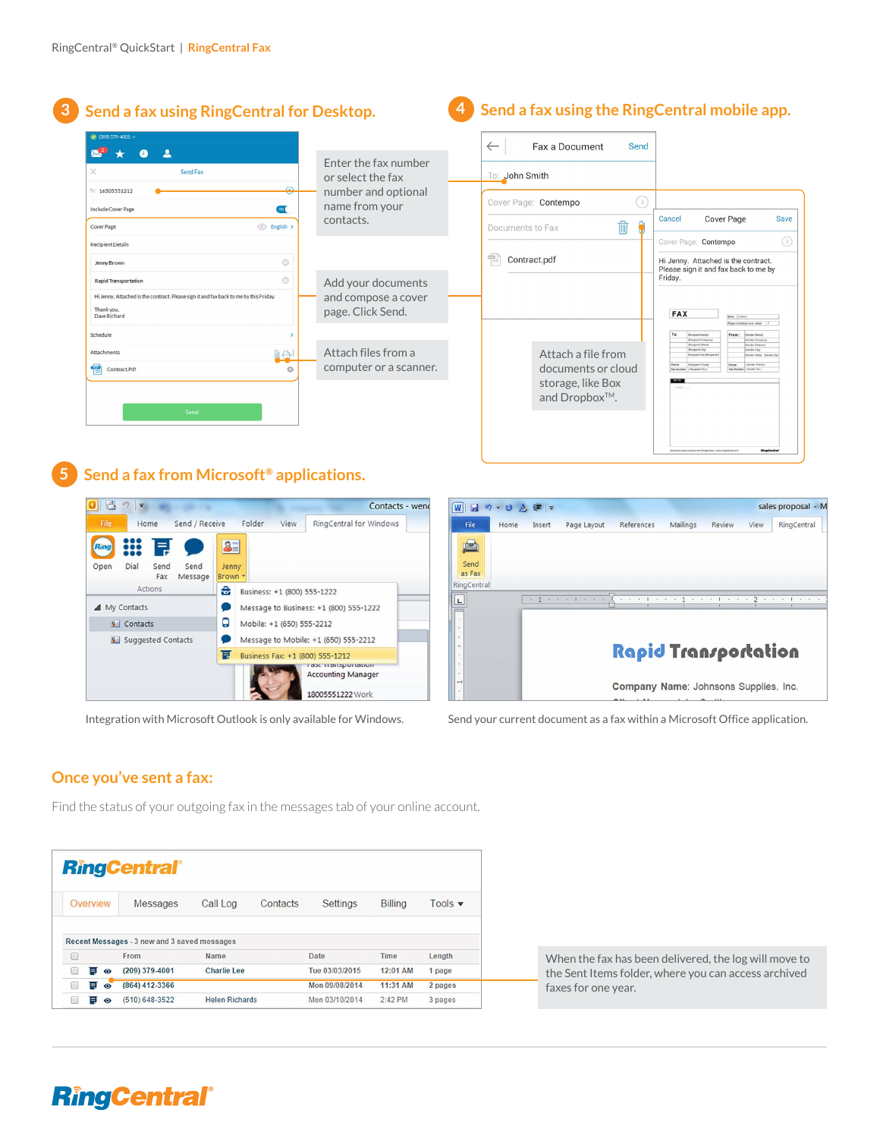|                                                                                       |               |                        | Fax a Document<br>$\leftarrow$<br>Send |                                                                                                                                                 |
|---------------------------------------------------------------------------------------|---------------|------------------------|----------------------------------------|-------------------------------------------------------------------------------------------------------------------------------------------------|
|                                                                                       |               | Enter the fax number   |                                        |                                                                                                                                                 |
| X<br>Send Fax                                                                         |               | or select the fax      | To: John Smith                         |                                                                                                                                                 |
| To: 16505551212                                                                       | ≏             | number and optional    |                                        |                                                                                                                                                 |
| <b>Include Cover Page</b>                                                             | $\alpha$      | name from your         | ⊙<br>Cover Page: Contempo              |                                                                                                                                                 |
| Cover Page                                                                            | (0) English > | contacts.              | Ŵ<br>Documents to Fax                  | <b>Cover Page</b><br>Cancel<br>Save                                                                                                             |
| <b>Recipient Details</b>                                                              |               |                        |                                        | $\odot$<br>Cover Page: Contempo                                                                                                                 |
| Jenny Brown                                                                           | $\odot$       |                        | 雩<br>Contract.pdf                      | Hi Jenny. Attached is the contract.<br>Please sign it and fax back to me by                                                                     |
| <b>Rapid Transportation</b>                                                           | $\odot$       | Add your documents     |                                        | Friday.                                                                                                                                         |
| Hi Jenny, Attached is the contract. Please sign it and fax back to me by this Friday. |               | and compose a cover    |                                        |                                                                                                                                                 |
| Thank you.<br>Dave Richard                                                            |               | page. Click Send.      |                                        | <b>FAX</b><br>Date: (Date)<br>Pages including cover sheet                                                                                       |
| Schedule                                                                              |               |                        |                                        | To:<br>(Recipient Name)<br>From:<br>(Sender Name)<br>(Recipient Company<br>Sender Company)                                                      |
| Attachments                                                                           | 0e            | Attach files from a    | Attach a file from                     | <b>Recipient Street</b><br><b>Sender Address</b><br>(Recipient City)<br>Sender City)<br>(Recipient Sta (Recipient)<br>Sender State) (Sender Zip |
| 憎<br>Contract.Pdf                                                                     | $\circ$       | computer or a scanner. | documents or cloud                     | $P = 10P$<br><b>JRecipient Filipine</b><br>/ Sandar Phone<br><br>Fax Number: Checkwet Fax<br>Fax Number / Sendar Fax 1                          |
|                                                                                       |               |                        | storage, like Box                      | $100$ TEs<br>19001                                                                                                                              |
|                                                                                       |               |                        | and Dropbox™.                          |                                                                                                                                                 |

#### **Send a fax from Microsoft® 5 applications.**

| 區                           | $\overline{ }$    |                  |                 |                        |                                      |                                                                   | Contacts - wend |
|-----------------------------|-------------------|------------------|-----------------|------------------------|--------------------------------------|-------------------------------------------------------------------|-----------------|
| <b>File</b>                 |                   | Home             | Send / Receive  |                        | Folder<br>View                       | RingCentral for Windows                                           |                 |
| Ring<br>Open                | Dial              | E<br>Send<br>Fax | Send<br>Message | 81<br>Jenny<br>Brown * |                                      |                                                                   |                 |
|                             |                   | <b>Actions</b>   |                 | ÷                      | Business: +1 (800) 555-1222          |                                                                   |                 |
|                             | ▲ My Contacts     |                  |                 |                        |                                      | Message to Business: +1 (800) 555-1222                            |                 |
|                             | <b>8</b> Contacts |                  |                 | Q                      | Mobile: +1 (650) 555-2212            |                                                                   |                 |
| <b>8</b> Suggested Contacts |                   |                  |                 |                        | Message to Mobile: +1 (650) 555-2212 |                                                                   |                 |
|                             |                   |                  |                 | Ţ                      | Business Fax: +1 (800) 555-1212      |                                                                   |                 |
|                             |                   |                  |                 |                        |                                      | ταρε παπρροπασοπ<br><b>Accounting Manager</b><br>18005551222 Work |                 |

#### $\boxed{\textbf{W}}$   $\boxed{\textbf{H}}$ sales proposal - M File Insert Page Layout Mailings Review RingCentral Home References View A Send<br>as Fax RingCentral  $\leq 1$  $\boxed{\mathsf{L}}$ Rapid Transportation Company Name: Johnsons Supplies, Inc.

Integration with Microsoft Outlook is only available for Windows. Send your current document as a fax within a Microsoft Office application.

#### **Once you've sent a fax:**

Find the status of your outgoing fax in the messages tab of your online account.

|              | <b>RingCentral®</b>                          |                    |          |                 |                |                            |
|--------------|----------------------------------------------|--------------------|----------|-----------------|----------------|----------------------------|
| Overview     | <b>Messages</b>                              | Call Log           | Contacts | <b>Settings</b> | <b>Billing</b> | Tools $\blacktriangledown$ |
|              |                                              |                    |          |                 |                |                            |
|              | Recent Messages - 3 new and 3 saved messages |                    |          |                 |                |                            |
|              | From                                         | Name               |          | Date            | Time           | Length                     |
| E<br>$\circ$ | (209) 379-4001                               | <b>Charlie Lee</b> |          | Tue 03/03/2015  | 12:01 AM       | 1 page                     |
| 耳<br>$\circ$ | (864) 412-3366                               |                    |          | Mon 09/08/2014  | 11:31 AM       | 2 pages                    |

When the fax has been delivered, the log will move to the Sent Items folder, where you can access archived faxes for one year.